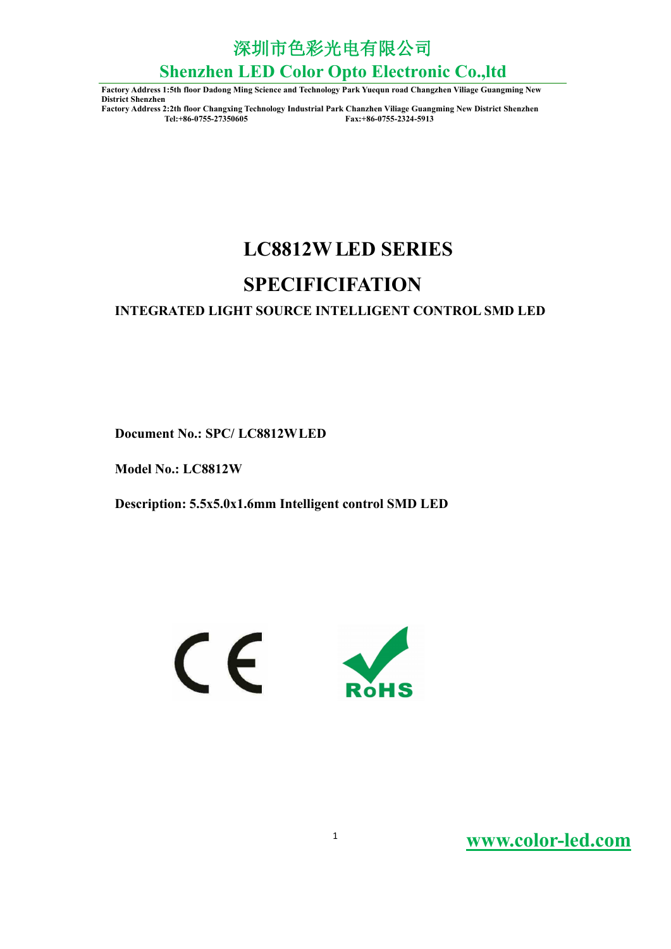深圳市色彩光电有限公司

# **Shenzhen LED Color Opto Electronic Co.,ltd**

**Factory Address 1:5th floor Dadong Ming Science and Technology Park Yuequn road Changzhen Viliage Guangming New District Shenzhen**

**Factory Address 2:2th floor Changxing Technology Industrial Park Chanzhen Viliage Guangming New District Shenzhen Tel:+86-0755-27350605 Fax:+86-0755-2324-5913**

# **2W LC881 LED SERIES**

### **SPECIFICIFATION**

### **INTEGRATED LIGHT SOURCE INTELLIGENT CONTROL SMD LED**

**2Wheread Figures Document No.: SPC/ LC8812WLED** 

**2W Model No.: LC881**

**Description: 5.5x5.0x1.6mm Intelligent control SMD LED**

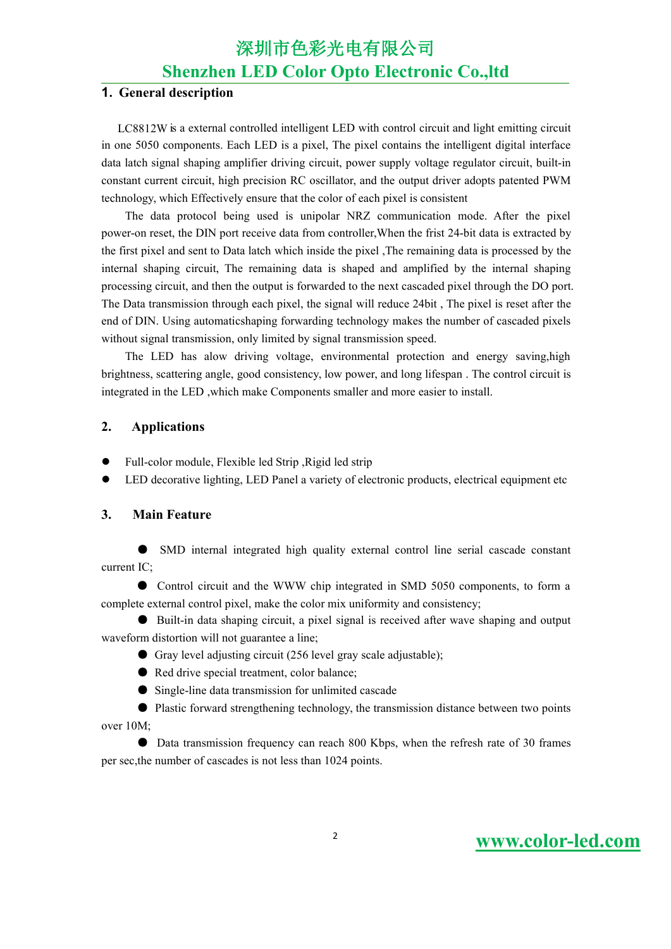深圳市色彩光电有限公司

### **Shenzhen LED Color Opto Electronic Co.,ltd**

#### **1. General description**

LC8812W is a external controlled intelligent LED with control circuit and light emitting circuit in one 5050 components. Each LED is a pixel, The pixel contains the intelligent digital interface data latch signal shaping amplifier driving circuit, power supply voltage regulator circuit, built-in constant current circuit, high precision RC oscillator, and the output driver adopts patented PWM technology, which Effectively ensure that the color of each pixel is consistent

The data protocol being used is unipolar NRZ communication mode. After the pixel power-on reset, the DIN port receive data from controller,When the frist 24-bit data is extracted by the first pixel and sent to Data latch which inside the pixel ,The remaining data is processed by the internal shaping circuit, The remaining data is shaped and amplified by the internal shaping processing circuit, and then the output is forwarded to the next cascaded pixel through the DO port. The Data transmission through each pixel, the signal will reduce 24bit, The pixel is reset after the end of DIN. Using automaticshaping forwarding technology makes the number of cascaded pixels without signal transmission, only limited by signal transmission speed.

The LED has alow driving voltage, environmental protection and energy saving,high brightness, scattering angle, good consistency, low power, and long lifespan . The control circuit is integrated in the LED ,which make Components smaller and more easier to install.

#### **2. Applications**

- Full-color module, Flexible led Strip ,Rigid led strip
- LED decorative lighting, LED Panel a variety of electronic products, electrical equipment etc

#### **3. Main Feature**

SMD internal integrated high quality external control line serial cascade constant current IC;

● Control circuit and the WWW chip integrated in SMD 5050 components, to form a complete external control pixel, make the color mix uniformity and consistency;

● Built-in data shaping circuit, a pixel signal is received after wave shaping and output waveform distortion will not guarantee a line;

- Gray level adjusting circuit (256 level gray scale adjustable);
- Red drive special treatment, color balance;
- Single-line data transmission for unlimited cascade

● Plastic forward strengthening technology, the transmission distance between two points over 10M;

● Data transmission frequency can reach 800 Kbps, when the refresh rate of 30 frames per sec,the number of cascades is not less than 1024 points.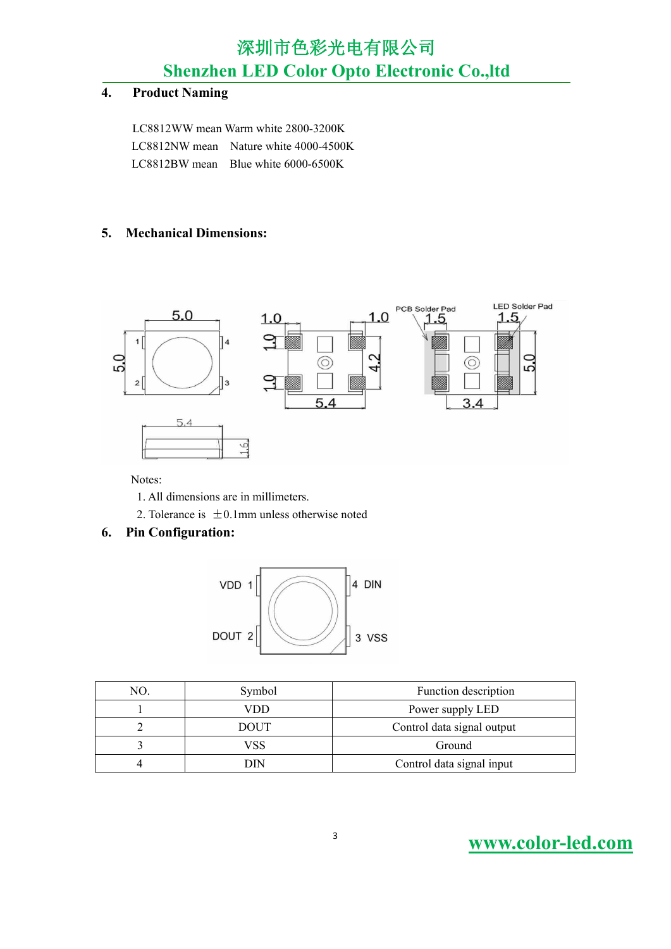### 深圳市色彩光电有限公司

**Shenzhen LED Color Opto Electronic Co.,ltd**

#### **4. Product Naming**

LC8812WW mean Warm white 2800-3200K LC8812NW mean Nature white 4000-4500K LC8812BW mean Blue white 6000-6500K

### **5. Mechanical Dimensions:**



Notes:

- 1. All dimensions are in millimeters.
- 2. Tolerance is  $\pm 0.1$ mm unless otherwise noted

#### **6. Pin Configuration:**



| NO. | Symbol      | Function description       |
|-----|-------------|----------------------------|
|     | VDD         | Power supply LED           |
|     | <b>DOUT</b> | Control data signal output |
|     | VSS         | Ground                     |
|     | DIN         | Control data signal input  |

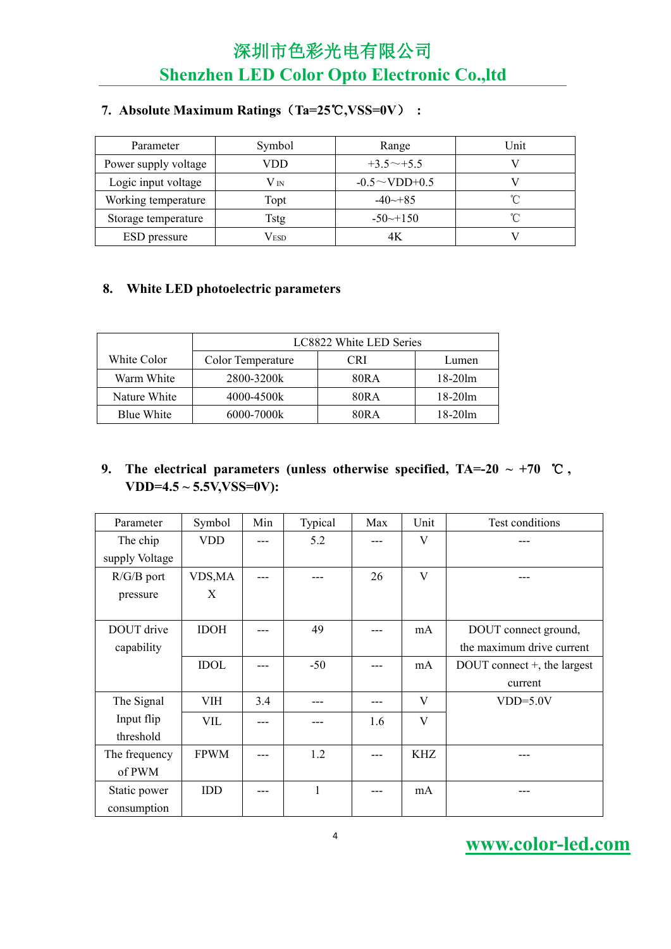| Parameter            | Symbol        | Range                 | Unit |
|----------------------|---------------|-----------------------|------|
| Power supply voltage | VDD           | $+3.5^{\sim}+5.5$     |      |
| Logic input voltage  | $V_{IN}$      | $-0.5 \sim$ VDD+0.5   |      |
| Working temperature  | Topt          | $-40 \rightarrow 85$  |      |
| Storage temperature  | <b>Tstg</b>   | $-50 \rightarrow 150$ |      |
| ESD pressure         | $\rm V_{ESD}$ | 4Κ                    |      |

### **7. Absolute Maximum Ratings**(**Ta=25**℃**,VSS=0V**) **:**

### **8. White LED photoelectric parameters**

|              | LC8822 White LED Series |            |            |  |  |  |  |
|--------------|-------------------------|------------|------------|--|--|--|--|
| White Color  | Color Temperature       | <b>CRI</b> | Lumen      |  |  |  |  |
| Warm White   | 2800-3200k              | 80R A      | $18-20$ lm |  |  |  |  |
| Nature White | 4000-4500k              | 80RA       | $18-20$ lm |  |  |  |  |
| Blue White   | 6000-7000k              | 80RA       | $18-20$ lm |  |  |  |  |

### **9.** The electrical parameters (unless otherwise specified,  $TA=20 \sim +70$  °C,  $VDD=4.5 \sim 5.5V$ ,  $VSS=0V$ ):

| Parameter      | Symbol      | Min | Typical | Max | Unit       | Test conditions             |
|----------------|-------------|-----|---------|-----|------------|-----------------------------|
| The chip       | <b>VDD</b>  | --- | 5.2     |     | V          |                             |
| supply Voltage |             |     |         |     |            |                             |
| $R/G/B$ port   | VDS, MA     | --- |         | 26  | V          |                             |
| pressure       | X           |     |         |     |            |                             |
|                |             |     |         |     |            |                             |
| DOUT drive     | <b>IDOH</b> | --- | 49      | --- | mA         | DOUT connect ground,        |
| capability     |             |     |         |     |            | the maximum drive current   |
|                | <b>IDOL</b> |     | $-50$   | --- | mA         | DOUT connect +, the largest |
|                |             |     |         |     |            | current                     |
| The Signal     | <b>VIH</b>  | 3.4 | $---$   | --- | V          | $VDD=5.0V$                  |
| Input flip     | VIL         | --- |         | 1.6 | V          |                             |
| threshold      |             |     |         |     |            |                             |
| The frequency  | <b>FPWM</b> | --- | 1.2     | --- | <b>KHZ</b> | ---                         |
| of PWM         |             |     |         |     |            |                             |
| Static power   | <b>IDD</b>  | --- | 1       | --- | mA         |                             |
| consumption    |             |     |         |     |            |                             |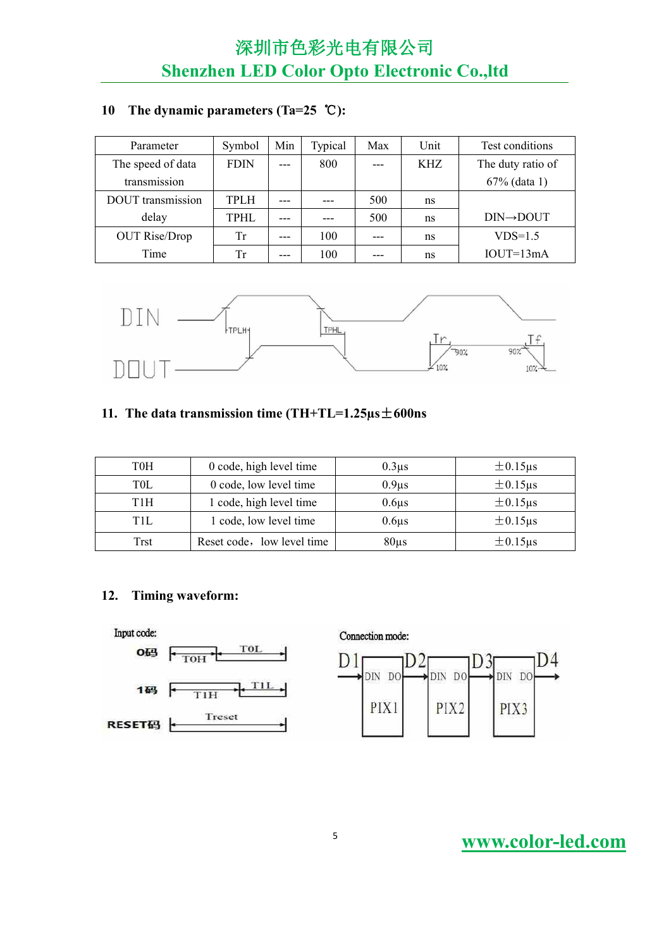### **10 The dynamic parameters (Ta=25** ℃**):**

| Parameter                | Symbol      | Min   | Typical | Max   | Unit | Test conditions        |
|--------------------------|-------------|-------|---------|-------|------|------------------------|
| The speed of data        | <b>FDIN</b> | $---$ | 800     | $---$ | KHZ  | The duty ratio of      |
| transmission             |             |       |         |       |      | $67\%$ (data 1)        |
| <b>DOUT</b> transmission | <b>TPLH</b> | $---$ | $---$   | 500   | ns   |                        |
| delay                    | <b>TPHL</b> | $---$ | $---$   | 500   | ns   | $DIN \rightarrow DOUT$ |
| <b>OUT Rise/Drop</b>     | Tr          | $---$ | 100     | $---$ | ns   | $VDS=1.5$              |
| Time                     | Tr          | $---$ | 100     | $---$ | ns   | $IOUT=13mA$            |



### **11. The data transmission time(TH+TL=1.25µs**±**600ns**

| <b>T0H</b> | 0 code, high level time    | 0.3 <sub>us</sub> | $\pm 0.15 \mu s$ |
|------------|----------------------------|-------------------|------------------|
| T0L        | 0 code, low level time     | 0.9 <sub>us</sub> | $\pm 0.15 \mu s$ |
| T1H        | 1 code, high level time    | $0.6\mu s$        | $\pm 0.15$ us    |
| TH.        | 1 code, low level time     | $0.6\mu$ s        | $\pm 0.15 \mu s$ |
| Trst       | Reset code, low level time | $80\mu s$         | $\pm 0.15 \mu s$ |

### **12. Timing waveform:**

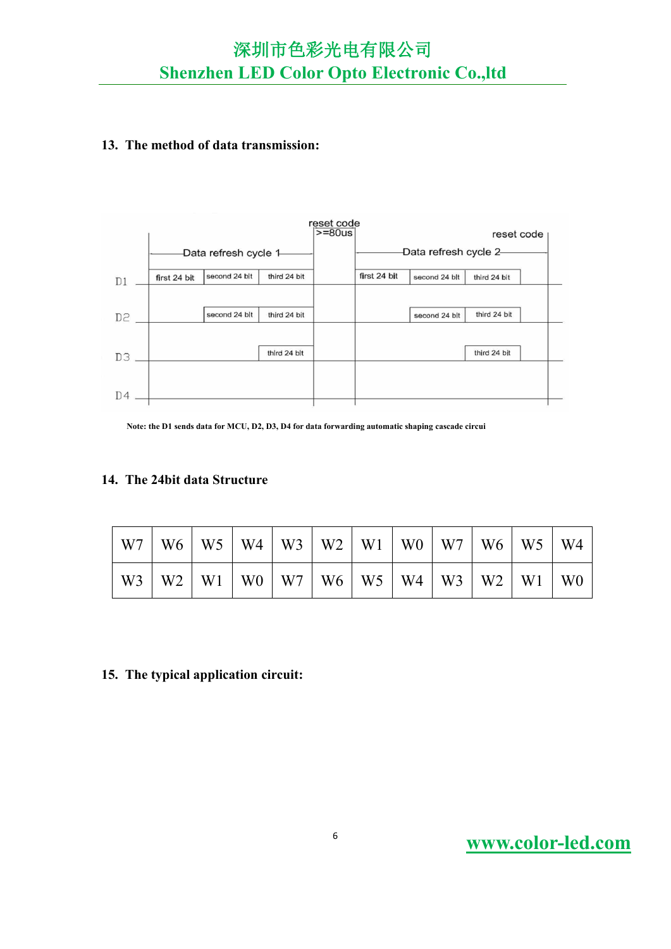#### **13. The method of data transmission:**



**Note: the D1 sends data for MCU, D2, D3, D4 for data forwarding automatic shaping cascade circui**

#### **14. The 24bit data Structure**

| W7             | W <sub>6</sub> | W <sub>5</sub> | W4             | W <sub>3</sub> | W <sub>2</sub> | W <sub>1</sub> | W <sub>0</sub> | W7             | W <sub>6</sub> | W <sub>5</sub> | W4             |
|----------------|----------------|----------------|----------------|----------------|----------------|----------------|----------------|----------------|----------------|----------------|----------------|
| W <sub>3</sub> | W <sub>2</sub> | W <sub>1</sub> | W <sub>0</sub> | W7             | W6             | W <sub>5</sub> | W4             | W <sub>3</sub> | W <sub>2</sub> | W <sub>1</sub> | W <sub>0</sub> |

#### **15. The typicalapplication circuit:**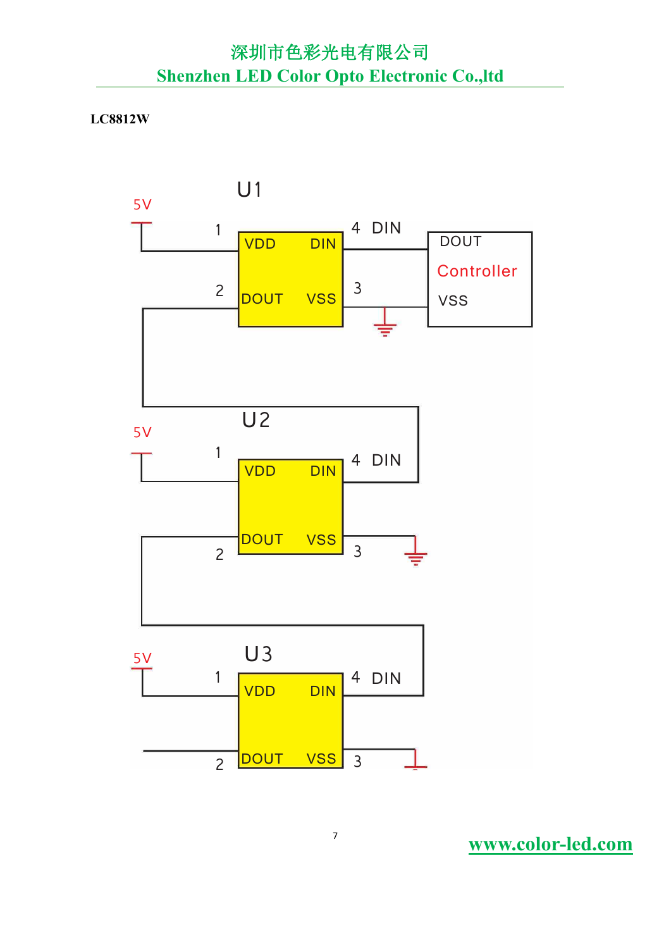#### **2W LC881**

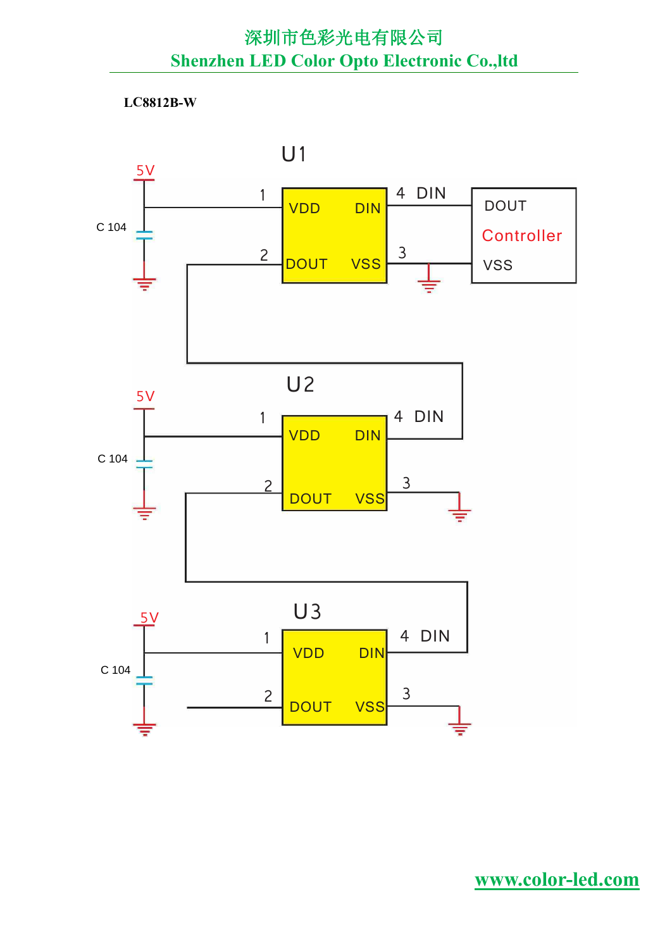**B-W LC8812**

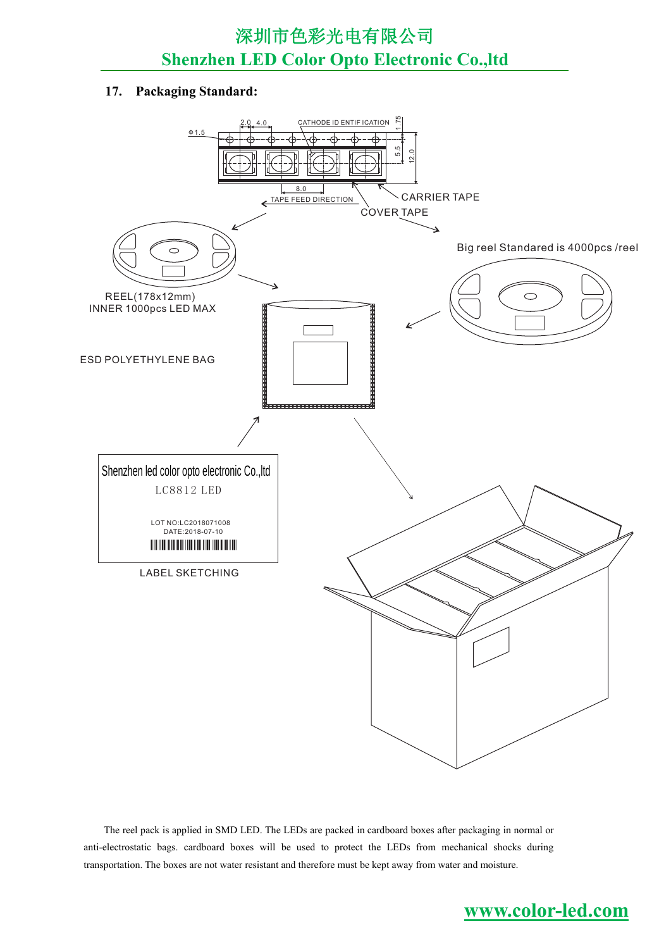#### **17. Packaging Standard:**



The reel pack is applied in SMD LED. The LEDs are packed in cardboard boxes after packaging in normal or anti-electrostatic bags. cardboard boxes will be used to protect the LEDs from mechanical shocks during transportation. The boxes are not water resistant and therefore must be kept away from water and moisture.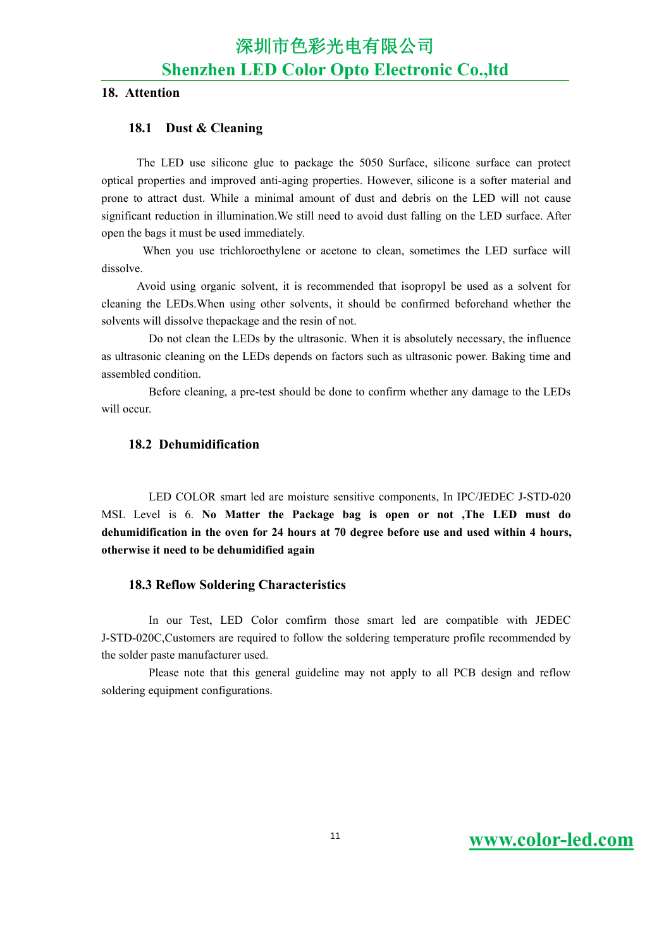#### **18. Attention**

#### **18.1 Dust & Cleaning**

The LED use silicone glue to package the 5050 Surface, silicone surface can protect optical properties and improved anti-aging properties. However, silicone isa softer material and prone to attract dust. While a minimal amount of dust and debris on the LED will not cause significant reduction in illumination.We still need to avoid dust falling on the LED surface. After open the bags it must be used immediately.

When you use trichloroethylene or acetone to clean, sometimes the LED surface will dissolve.<br>Avoid using organic solvent, it is recommended that isopropyl be used as a solvent for

cleaning the LEDs.When using other solvents, it should be confirmed beforehand whether the solvents will dissolve thepackage and the resin of not.

Do not clean the LEDs by the ultrasonic. When it is absolutely necessary, the influence as ultrasonic cleaning on the LEDs depends on factors such as ultrasonic power. Baking time and assembled condition.

Before cleaning, a pre-test should be done to confirm whether any damage to the LEDs will occur

#### **18.2 Dehumidification**

LED COLOR smart led are moisture sensitive components, In IPC/JEDEC J-STD-020 MSL Level is 6. **No Matter the Package bag is open or not,The LED must do dehumidification in the oven for 24 hours at 70 degree before use and used within 4 hours, otherwise it need tobe dehumidified again**

#### **18.3 Reflow Soldering Characteristics**

In our Test, LED Color comfirm those smart led are compatible with JEDEC J-STD-020C,Customers are required to follow the soldering temperature profile recommended by the solder paste manufacturer used.

Please note that this general guideline may not apply to all PCB design and reflow soldering equipment configurations.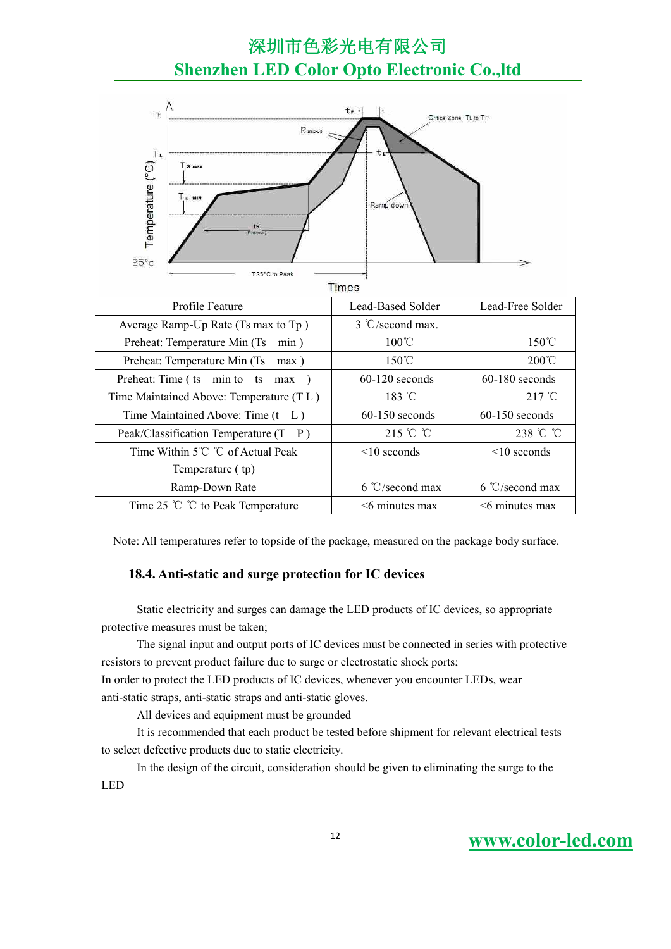

**Times** 

| Profile Feature                         | Lead-Based Solder  | Lead-Free Solder   |
|-----------------------------------------|--------------------|--------------------|
| Average Ramp-Up Rate (Ts max to Tp)     | 3 °C/second max.   |                    |
| Preheat: Temperature Min (Ts min)       | $100^{\circ}$ C    | $150^{\circ}$ C    |
| Preheat: Temperature Min (Ts<br>max)    | $150^{\circ}$ C    | $200^{\circ}$ C    |
| Preheat: Time (ts min to ts max         | $60-120$ seconds   | $60-180$ seconds   |
| Time Maintained Above: Temperature (TL) | $183 \text{ °C}$   | $217^{\circ}$ C    |
| Time Maintained Above: Time (t L)       | $60-150$ seconds   | $60-150$ seconds   |
| Peak/Classification Temperature (T P)   | 215 °C °C          | 238 °C °C          |
| Time Within 5℃ ℃ of Actual Peak         | $\leq 10$ seconds  | $\leq 10$ seconds  |
| Temperature (tp)                        |                    |                    |
| Ramp-Down Rate                          | $6 °C$ /second max | $6 °C$ /second max |
| Time 25 $\degree$ C to Peak Temperature | $<$ 6 minutes max  | $<$ 6 minutes max  |

Note: All temperatures refer to topside of the package, measured on the package body surface.

#### **18.4. Anti-static and surge protection for IC devices**

Static electricity and surges can damage the LED products of IC devices, so appropriate protective measures must be taken;

The signal input and output ports of IC devices must be connected in series with protective resistors to prevent product failure due to surge or electrostatic shock ports;

In order to protect the LED products of IC devices, whenever you encounter LEDs, wear anti-static straps, anti-static straps and anti-static gloves.

All devices and equipment must be grounded

It is recommended that each product be tested before shipment for relevant electrical tests to select defective products due to static electricity.

In the design of the circuit, consideration should be given to eliminating the surge to the LED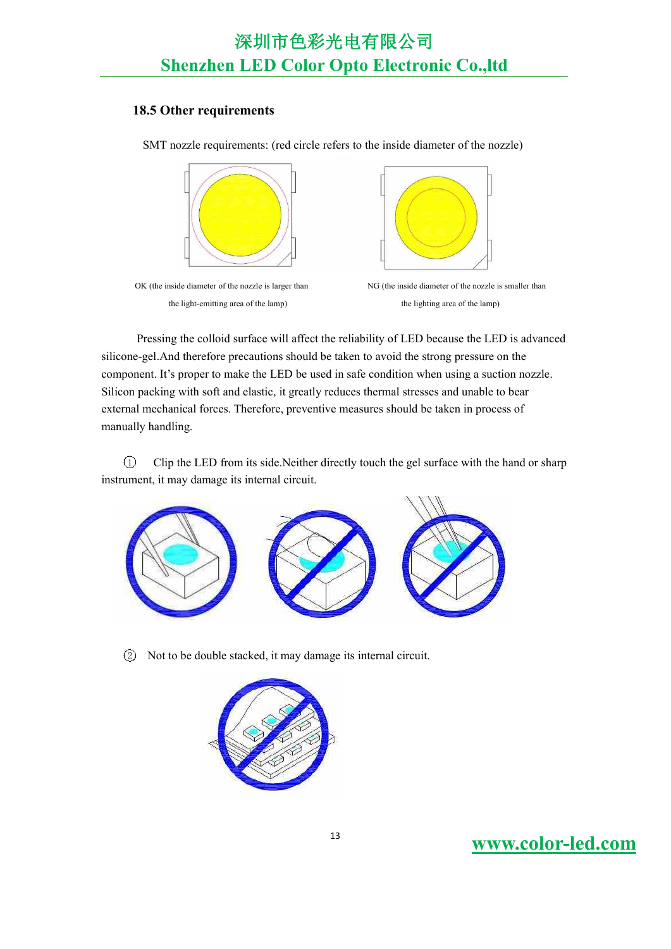### **18.5 Other requirements**

SMT nozzle requirements: (red circle refers to the inside diameter of the nozzle)



the light-emitting area of the lamp) the lighting area of the lamp)



OK (the inside diameter of the nozzle is larger than NG (the inside diameter of the nozzle is smaller than

Pressing the colloid surface will affect the reliability of LED because the LED is advanced silicone-gel.And therefore precautions should be taken to avoid the strong pressure on the component. It's proper to make the LED be used in safe condition when using a suction nozzle. Silicon packing with soft and elastic, it greatly reduces thermal stresses and unable to bear external mechanical forces. Therefore, preventive measures should be taken in process of manually handling.

1 Clip the LED from its side.Neither directly touch the gel surface with the hand or sharp instrument, it may damage its internal circuit.



2 Not to be double stacked, it may damage its internal circuit.